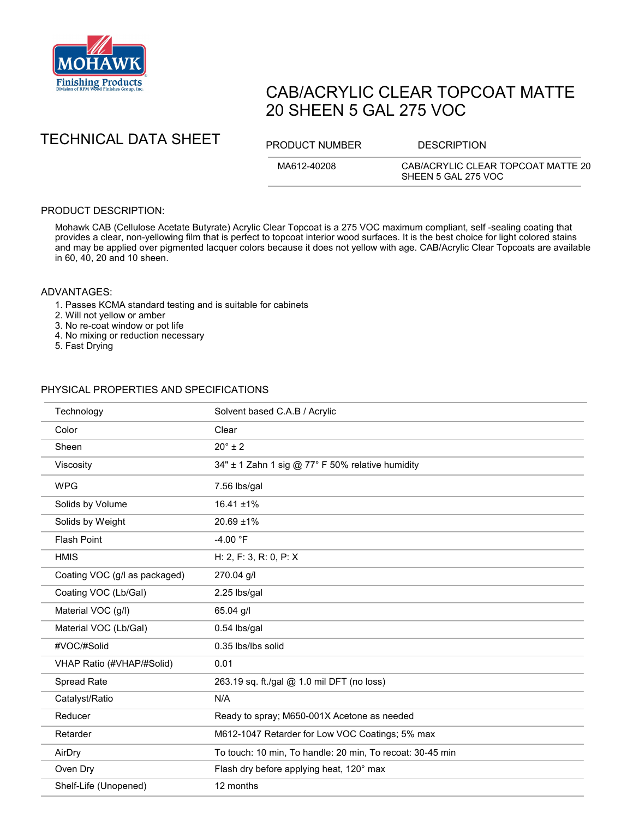

# CAB/ACRYLIC CLEAR TOPCOAT MATTE 20 SHEEN 5 GAL 275 VOC

TECHNICAL DATA SHEET PRODUCT NUMBER DESCRIPTION

MA612-40208 CAB/ACRYLIC CLEAR TOPCOAT MATTE 20 SHEEN 5 GAL 275 VOC

### PRODUCT DESCRIPTION:

Mohawk CAB (Cellulose Acetate Butyrate) Acrylic Clear Topcoat is a 275 VOC maximum compliant, self -sealing coating that provides a clear, non-yellowing film that is perfect to topcoat interior wood surfaces. It is the best choice for light colored stains and may be applied over pigmented lacquer colors because it does not yellow with age. CAB/Acrylic Clear Topcoats are available in 60, 40, 20 and 10 sheen.

#### ADVANTAGES:

1. Passes KCMA standard testing and is suitable for cabinets

2. Will not yellow or amber

- 3. No re-coat window or pot life
- 4. No mixing or reduction necessary
- 5. Fast Drying

## PHYSICAL PROPERTIES AND SPECIFICATIONS

| Technology                    | Solvent based C.A.B / Acrylic                             |
|-------------------------------|-----------------------------------------------------------|
| Color                         | Clear                                                     |
| Sheen                         | $20^\circ \pm 2$                                          |
| Viscosity                     | 34" ± 1 Zahn 1 sig @ 77° F 50% relative humidity          |
| <b>WPG</b>                    | 7.56 lbs/gal                                              |
| Solids by Volume              | $16.41 \pm 1\%$                                           |
| Solids by Weight              | 20.69 ±1%                                                 |
| <b>Flash Point</b>            | $-4.00 °F$                                                |
| <b>HMIS</b>                   | H: 2, F: 3, R: 0, P: X                                    |
| Coating VOC (g/l as packaged) | 270.04 g/l                                                |
| Coating VOC (Lb/Gal)          | 2.25 lbs/gal                                              |
| Material VOC (g/l)            | 65.04 g/l                                                 |
| Material VOC (Lb/Gal)         | 0.54 lbs/gal                                              |
| #VOC/#Solid                   | 0.35 lbs/lbs solid                                        |
| VHAP Ratio (#VHAP/#Solid)     | 0.01                                                      |
| Spread Rate                   | 263.19 sq. ft./gal @ 1.0 mil DFT (no loss)                |
| Catalyst/Ratio                | N/A                                                       |
| Reducer                       | Ready to spray; M650-001X Acetone as needed               |
| Retarder                      | M612-1047 Retarder for Low VOC Coatings; 5% max           |
| AirDry                        | To touch: 10 min, To handle: 20 min, To recoat: 30-45 min |
| Oven Dry                      | Flash dry before applying heat, 120° max                  |
| Shelf-Life (Unopened)         | 12 months                                                 |